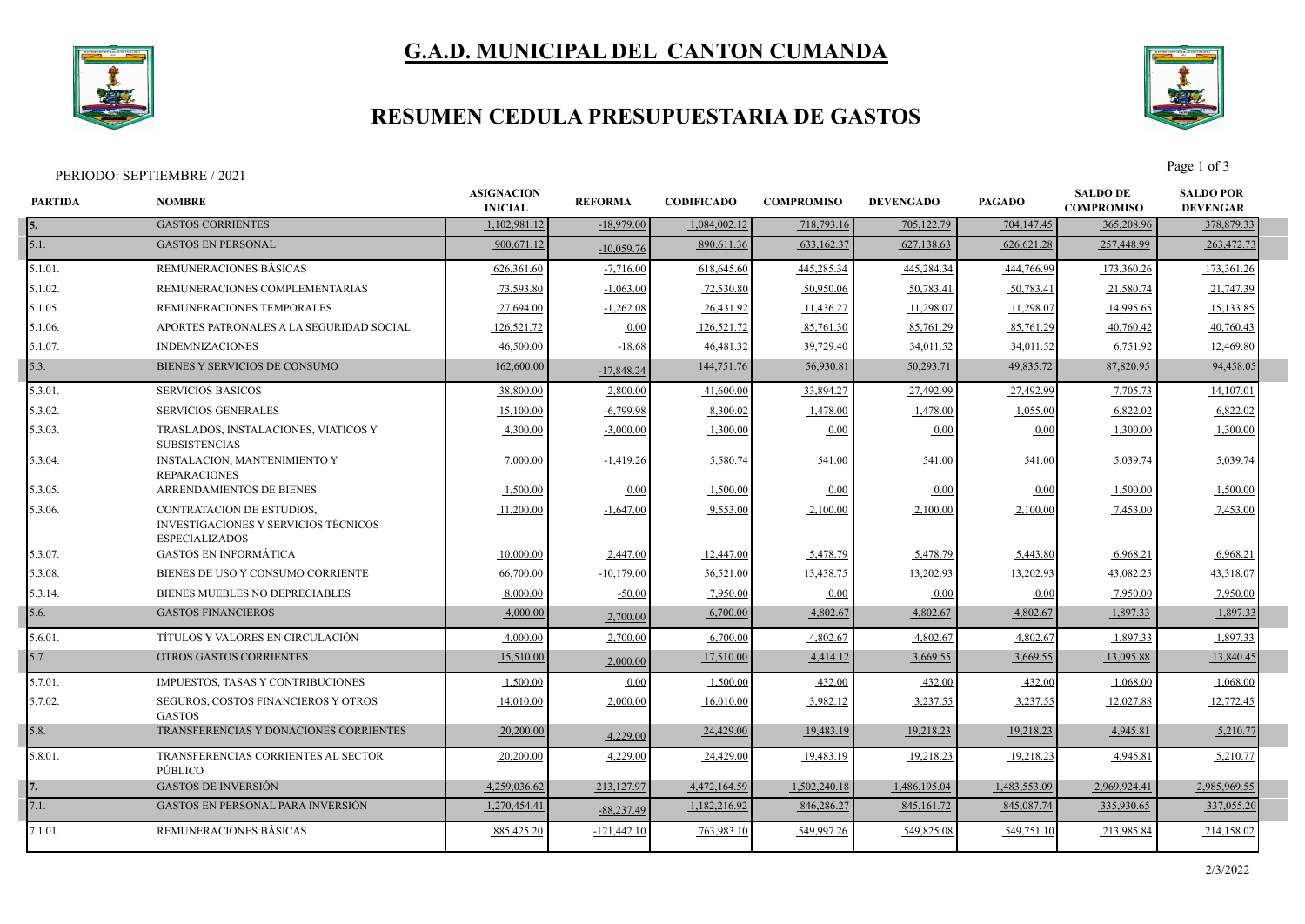

# **G.A.D. MUNICIPAL DEL CANTON CUMANDA**

### **RESUMEN CEDULA PRESUPUESTARIA DE GASTOS**



PERIODO: SEPTIEMBRE / 2021 2003

| <b>PARTIDA</b> | <b>NOMBRE</b>                                                                                     | <b>ASIGNACION</b><br><b>INICIAL</b> | <b>REFORMA</b> | <b>CODIFICADO</b> | <b>COMPROMISO</b> | <b>DEVENGADO</b> | <b>PAGADO</b> | <b>SALDO DE</b><br><b>COMPROMISO</b> | <b>SALDO POR</b><br><b>DEVENGAR</b> |  |
|----------------|---------------------------------------------------------------------------------------------------|-------------------------------------|----------------|-------------------|-------------------|------------------|---------------|--------------------------------------|-------------------------------------|--|
| 5.             | <b>GASTOS CORRIENTES</b>                                                                          | 1,102,981.12                        | $-18,979.00$   | 1,084,002.12      | 718,793.16        | 705,122.79       | 704,147.45    | 365,208.96                           | 378,879.33                          |  |
| 5.1.           | <b>GASTOS EN PERSONAL</b>                                                                         | 900,671.12                          | $-10,059.76$   | 890,611.36        | 633,162.37        | 627,138.63       | 626,621.28    | 257,448.99                           | 263,472.73                          |  |
| 5.1.01.        | REMUNERACIONES BASICAS                                                                            | 626,361.60                          | $-7,716.00$    | 618,645.60        | 445,285.34        | 445,284.34       | 444,766.99    | 173,360.26                           | 173,361.26                          |  |
| 5.1.02.        | REMUNERACIONES COMPLEMENTARIAS                                                                    | 73,593.80                           | $-1,063.00$    | 72,530.80         | 50,950.06         | 50,783.41        | 50,783.41     | 21,580.74                            | 21,747.39                           |  |
| 5.1.05.        | REMUNERACIONES TEMPORALES                                                                         | 27,694.00                           | $-1,262.08$    | 26,431.92         | 11,436.27         | 11,298.07        | 11,298.07     | 14,995.65                            | 15,133.85                           |  |
| 5.1.06.        | APORTES PATRONALES A LA SEGURIDAD SOCIAL                                                          | 126,521.72                          | 0.00           | 126,521.72        | 85,761.30         | 85,761.29        | 85,761.29     | 40,760.42                            | 40,760.43                           |  |
| 5.1.07.        | <b>INDEMNIZACIONES</b>                                                                            | 46,500.00                           | $-18.68$       | 46,481.32         | 39,729.40         | 34,011.52        | 34,011.52     | 6,751.92                             | 12,469.80                           |  |
| 5.3.           | BIENES Y SERVICIOS DE CONSUMO                                                                     | 162,600.00                          | $-17,848.24$   | 144,751.76        | 56,930.81         | 50,293.71        | 49,835.72     | 87,820.95                            | 94,458.05                           |  |
| 5.3.01.        | <b>SERVICIOS BASICOS</b>                                                                          | 38,800.00                           | 2,800.00       | 41,600.00         | 33,894.27         | 27,492.99        | 27,492.99     | 7,705.73                             | 14,107.01                           |  |
| 5.3.02.        | <b>SERVICIOS GENERALES</b>                                                                        | 15,100.00                           | $-6,799.98$    | 8,300.02          | 1,478.00          | 1,478.00         | 1,055.00      | 6.822.02                             | 6,822.02                            |  |
| 5.3.03.        | TRASLADOS, INSTALACIONES, VIATICOS Y<br><b>SUBSISTENCIAS</b>                                      | 4,300.00                            | $-3,000.00$    | 1,300.00          | 0.00              | 0.00             | 0.00          | 1,300.00                             | 1,300.00                            |  |
| 5.3.04.        | <b>INSTALACION, MANTENIMIENTO Y</b><br><b>REPARACIONES</b>                                        | 7,000.00                            | $-1,419.26$    | 5,580.74          | 541.00            | 541.00           | 541.00        | 5,039.74                             | 5,039.74                            |  |
| 5.3.05.        | ARRENDAMIENTOS DE BIENES                                                                          | 1,500.00                            | 0.00           | 1,500.00          | 0.00              | 0.00             | 0.00          | 1,500.00                             | 1,500.00                            |  |
| 5.3.06.        | CONTRATACION DE ESTUDIOS,<br><b>INVESTIGACIONES Y SERVICIOS TÉCNICOS</b><br><b>ESPECIALIZADOS</b> | 11,200.00                           | $-1,647.00$    | 9,553.00          | 2,100.00          | 2,100.00         | 2,100.00      | 7,453.00                             | 7,453.00                            |  |
| 5.3.07.        | <b>GASTOS EN INFORMÁTICA</b>                                                                      | 10,000.00                           | 2,447.00       | 12,447.00         | 5,478.79          | 5,478.79         | 5,443.80      | 6,968.21                             | 6,968.21                            |  |
| 5.3.08.        | BIENES DE USO Y CONSUMO CORRIENTE                                                                 | 66,700.00                           | $-10,179.00$   | 56,521.00         | 13,438.75         | 13,202.93        | 13,202.93     | 43,082.25                            | 43,318.07                           |  |
| 5.3.14.        | <b>BIENES MUEBLES NO DEPRECIABLES</b>                                                             | 8,000.00                            | $-50.00$       | 7,950.00          | 0.00              | 0.00             | 0.00          | 7,950.00                             | 7,950.00                            |  |
| 5.6.           | <b>GASTOS FINANCIEROS</b>                                                                         | 4,000.00                            | 2,700.00       | 6,700.00          | 4,802.67          | 4,802.67         | 4,802.67      | 1,897.33                             | 1,897.33                            |  |
| 5.6.01         | TÍTULOS Y VALORES EN CIRCULACIÓN                                                                  | 4,000.00                            | 2,700.00       | 6,700.00          | 4,802.67          | 4,802.67         | 4,802.6       | 1,897.33                             | 1,897.33                            |  |
| 5.7.           | <b>OTROS GASTOS CORRIENTES</b>                                                                    | 15,510.00                           | 2,000.00       | 17,510.00         | 4,414.12          | 3,669.55         | 3,669.55      | 13,095.88                            | 13,840.45                           |  |
| 5.7.01.        | IMPUESTOS, TASAS Y CONTRIBUCIONES                                                                 | 1,500.00                            | 0.00           | 1,500.00          | 432.00            | 432.00           | 432.00        | 1,068.00                             | 1,068.00                            |  |
| 5.7.02.        | <b>SEGUROS, COSTOS FINANCIEROS Y OTROS</b><br><b>GASTOS</b>                                       | 14,010.00                           | 2,000.00       | 16,010.00         | 3,982.12          | 3,237.55         | 3,237.55      | 12,027.88                            | 12,772.45                           |  |
| 5.8.           | TRANSFERENCIAS Y DONACIONES CORRIENTES                                                            | 20,200.00                           | 4,229.00       | 24,429.00         | 19,483.19         | 19,218.23        | 19,218.23     | 4,945.81                             | 5,210.77                            |  |
| 5.8.01         | TRANSFERENCIAS CORRIENTES AL SECTOR<br>PÚBLICO                                                    | 20,200.00                           | 4,229.00       | 24,429.00         | 19,483.19         | 19,218.23        | 19,218.23     | 4,945.81                             | 5,210.77                            |  |
|                | <b>GASTOS DE INVERSIÓN</b>                                                                        | 4.259,036.62                        | 213,127.97     | 4,472,164.59      | 1,502,240.18      | 1,486,195.04     | 1.483,553.09  | 2,969,924.41                         | 2,985,969.55                        |  |
| 7.1.           | <b>GASTOS EN PERSONAL PARA INVERSIÓN</b>                                                          | 1,270,454.41                        | $-88,237.49$   | 1,182,216.92      | 846,286.27        | 845, 161.72      | 845,087.74    | 335,930.65                           | 337,055.20                          |  |
| 7.1.01.        | REMUNERACIONES BASICAS                                                                            | 885,425.20                          | $-121,442.10$  | 763,983.10        | 549,997.26        | 549,825.08       | 549,751.10    | 213,985.84                           | 214,158.02                          |  |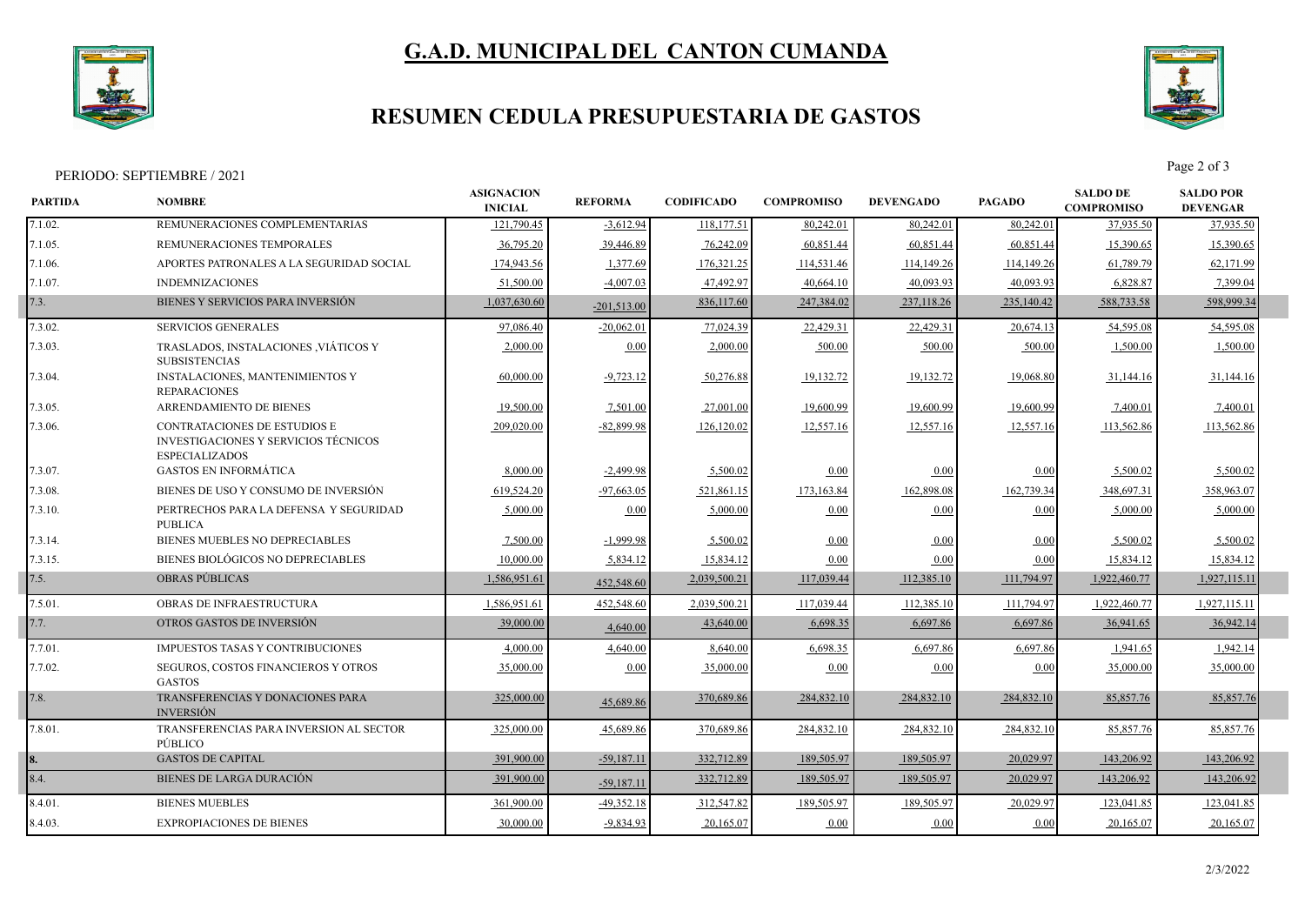

# **G.A.D. MUNICIPAL DEL CANTON CUMANDA**

### **RESUMEN CEDULA PRESUPUESTARIA DE GASTOS**



PERIODO: SEPTIEMBRE / 2021 Page 2 of 3

| 7.1.02.<br>REMUNERACIONES COMPLEMENTARIAS<br>121,790.45<br>$-3,612.94$<br>118,177.51<br>80,242.01<br>80,242.01<br>80,242.01<br>60,851.44<br>60,851.44<br>7.1.05.<br>REMUNERACIONES TEMPORALES<br>36,795.20<br>39,446.89<br>76,242.09<br>60,851.44<br>APORTES PATRONALES A LA SEGURIDAD SOCIAL<br>174,943.56<br>1,377.69<br>114,531.46<br>114,149.26<br>114,149.26<br>7.1.06.<br>176,321.25 | 37,935.50<br>37,935.50<br>15,390.65<br>15,390.65<br>61,789.79<br>62,171.99<br>7,399.04<br>6,828.87 |
|--------------------------------------------------------------------------------------------------------------------------------------------------------------------------------------------------------------------------------------------------------------------------------------------------------------------------------------------------------------------------------------------|----------------------------------------------------------------------------------------------------|
|                                                                                                                                                                                                                                                                                                                                                                                            |                                                                                                    |
|                                                                                                                                                                                                                                                                                                                                                                                            |                                                                                                    |
|                                                                                                                                                                                                                                                                                                                                                                                            |                                                                                                    |
| 40,093.93<br>40.093.93<br><b>INDEMNIZACIONES</b><br>51,500.00<br>$-4,007.03$<br>47,492.97<br>40,664.10<br>7.1.07.                                                                                                                                                                                                                                                                          |                                                                                                    |
| 7.3.<br>BIENES Y SERVICIOS PARA INVERSIÓN<br>1,037,630.60<br>836,117.60<br>247,384.02<br>237,118.26<br>235,140.42<br>588,733.58<br>$-201,513.00$                                                                                                                                                                                                                                           | 598,999.34                                                                                         |
| 7.3.02.<br>SERVICIOS GENERALES<br>97,086.40<br>$-20,062.01$<br>77,024.39<br>22,429.31<br>22,429.31<br>20,674.13                                                                                                                                                                                                                                                                            | 54,595.08<br>54,595.08                                                                             |
| TRASLADOS, INSTALACIONES , VIÁTICOS Y<br>7.3.03.<br>2,000.00<br>2,000.00<br>500.00<br>500.00<br>500.00<br>0.00<br><b>SUBSISTENCIAS</b>                                                                                                                                                                                                                                                     | 1,500.00<br>1,500.00                                                                               |
| 7.3.04.<br>60,000.00<br>$-9,723.12$<br>50,276.88<br>19,132.72<br>19,132.72<br>19,068.80<br><b>INSTALACIONES, MANTENIMIENTOS Y</b><br><b>REPARACIONES</b>                                                                                                                                                                                                                                   | 31,144.16<br>31,144.16                                                                             |
| 7.3.05.<br>ARRENDAMIENTO DE BIENES<br>19,500.00<br>7,501.00<br>19,600.99<br>19,600.99<br>19,600.99<br>27,001.00                                                                                                                                                                                                                                                                            | 7,400.01<br>7,400.0                                                                                |
| 12,557.16<br>12,557.16<br>7.3.06.<br><b>CONTRATACIONES DE ESTUDIOS E</b><br>209,020.00<br>$-82.899.98$<br>126,120.02<br>12,557.16<br><b>INVESTIGACIONES Y SERVICIOS TÉCNICOS</b><br><b>ESPECIALIZADOS</b>                                                                                                                                                                                  | 113,562.86<br>113,562.86                                                                           |
| <b>GASTOS EN INFORMÁTICA</b><br>7.3.07.<br>8,000.00<br>$-2,499.98$<br>5,500.02<br>0.00<br>0.00<br>0.00                                                                                                                                                                                                                                                                                     | 5,500.02<br>5,500.02                                                                               |
| BIENES DE USO Y CONSUMO DE INVERSIÓN<br>619,524.20<br>$-97,663.05$<br>173,163.84<br>162,898.08<br>162,739.34<br>7.3.08.<br>521,861.15                                                                                                                                                                                                                                                      | 348,697.31<br>358,963.07                                                                           |
| PERTRECHOS PARA LA DEFENSA Y SEGURIDAD<br>5,000.00<br>0.00<br>5,000.00<br>7.3.10.<br>0.00<br>$0.00\,$<br>0.00<br><b>PUBLICA</b>                                                                                                                                                                                                                                                            | 5,000.00<br>5,000.00                                                                               |
| 7.3.14.<br>BIENES MUEBLES NO DEPRECIABLES<br>7,500.00<br>$-1.999.98$<br>5,500.02<br>0.00<br>0.00<br>0.00                                                                                                                                                                                                                                                                                   | 5,500.02<br>5.500.02                                                                               |
| BIENES BIOLÓGICOS NO DEPRECIABLES<br>7.3.15.<br>10,000.00<br>5,834.12<br>15,834.12<br>0.00<br>0.00<br>0.00                                                                                                                                                                                                                                                                                 | 15,834.12<br>15,834.12                                                                             |
| 7.5.<br><b>OBRAS PUBLICAS</b><br>1,586,951.61<br>2,039,500.21<br>117,039.44<br>112,385.10<br>111,794.97<br>1,922,460.77<br>452,548.60                                                                                                                                                                                                                                                      | 1,927,115.11                                                                                       |
| <b>OBRAS DE INFRAESTRUCTURA</b><br>7.5.01.<br>1,586,951.61<br>452,548.60<br>2,039,500.21<br>117,039.44<br>112,385.10<br>111,794.97<br>1,922,460.77                                                                                                                                                                                                                                         | 1,927,115.11                                                                                       |
| 7.7.<br>OTROS GASTOS DE INVERSIÓN<br>39,000.00<br>43,640.00<br>6,698.35<br>6,697.86<br>6,697.86<br>4,640.00                                                                                                                                                                                                                                                                                | 36,942.14<br>36,941.65                                                                             |
| 7.7.01.<br><b>IMPUESTOS TASAS Y CONTRIBUCIONES</b><br>4,000.00<br>4,640.00<br>6,697.86<br>8,640.00<br>6,698.35<br>6,697.86                                                                                                                                                                                                                                                                 | 1,942.14<br>1,941.65                                                                               |
| 35,000.00<br>7.7.02.<br>SEGUROS, COSTOS FINANCIEROS Y OTROS<br>0.00<br>35,000.00<br>0.00<br>0.00<br>0.00<br><b>GASTOS</b>                                                                                                                                                                                                                                                                  | 35,000.00<br>35,000.00                                                                             |
| 7.8.<br>TRANSFERENCIAS Y DONACIONES PARA<br>325,000.00<br>370,689.86<br>284,832.10<br>284,832.10<br>284,832.10<br>45,689.86<br><b>INVERSIÓN</b>                                                                                                                                                                                                                                            | 85,857.76<br>85,857.76                                                                             |
| 325,000.00<br>45,689.86<br>370,689.86<br>284,832.10<br>284,832.10<br>284,832.10<br>7.8.01.<br>TRANSFERENCIAS PARA INVERSION AL SECTOR<br>PÚBLICO                                                                                                                                                                                                                                           | 85,857.76<br>85,857.76                                                                             |
| <b>GASTOS DE CAPITAL</b><br>391,900.00<br>189,505.97<br>20,029.97<br>$-59,187.11$<br>332,712.89<br>189,505.97                                                                                                                                                                                                                                                                              | 143,206.92<br>143,206.92                                                                           |
| 8.4.<br>BIENES DE LARGA DURACIÓN<br>391,900.00<br>332,712.89<br>189,505.97<br>189,505.97<br>20,029.97<br>143,206.92<br>$-59,187.11$                                                                                                                                                                                                                                                        | 143,206.92                                                                                         |
| <b>BIENES MUEBLES</b><br>312,547.82<br>189,505.97<br>8.4.01.<br>361,900.00<br>$-49,352.18$<br>189,505.97<br>20,029.97                                                                                                                                                                                                                                                                      | 123,041.85<br>123,041.85                                                                           |
| 8.4.03.<br><b>EXPROPIACIONES DE BIENES</b><br>$-9,834.93$<br>30,000.00<br>20,165.07<br>0.00<br>0.00<br>0.00                                                                                                                                                                                                                                                                                | 20,165.07<br>20,165.07                                                                             |